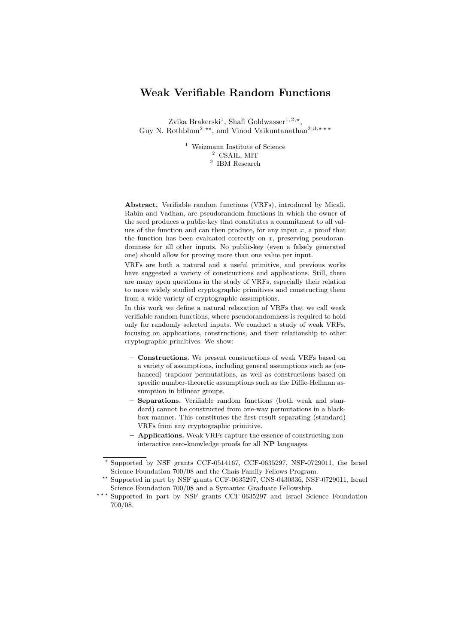# Weak Verifiable Random Functions

Zvika Brakerski<sup>1</sup>, Shafi Goldwasser<sup>1,2,\*</sup>, Guy N. Rothblum<sup>2,\*\*</sup>, and Vinod Vaikuntanathan<sup>2,3,\*</sup>\*\*

> <sup>1</sup> Weizmann Institute of Science <sup>2</sup> CSAIL, MIT 3 IBM Research

Abstract. Verifiable random functions (VRFs), introduced by Micali, Rabin and Vadhan, are pseudorandom functions in which the owner of the seed produces a public-key that constitutes a commitment to all values of the function and can then produce, for any input  $x$ , a proof that the function has been evaluated correctly on  $x$ , preserving pseudorandomness for all other inputs. No public-key (even a falsely generated one) should allow for proving more than one value per input.

VRFs are both a natural and a useful primitive, and previous works have suggested a variety of constructions and applications. Still, there are many open questions in the study of VRFs, especially their relation to more widely studied cryptographic primitives and constructing them from a wide variety of cryptographic assumptions.

In this work we define a natural relaxation of VRFs that we call weak verifiable random functions, where pseudorandomness is required to hold only for randomly selected inputs. We conduct a study of weak VRFs, focusing on applications, constructions, and their relationship to other cryptographic primitives. We show:

- Constructions. We present constructions of weak VRFs based on a variety of assumptions, including general assumptions such as (enhanced) trapdoor permutations, as well as constructions based on specific number-theoretic assumptions such as the Diffie-Hellman assumption in bilinear groups.
- Separations. Verifiable random functions (both weak and standard) cannot be constructed from one-way permutations in a blackbox manner. This constitutes the first result separating (standard) VRFs from any cryptographic primitive.
- Applications. Weak VRFs capture the essence of constructing noninteractive zero-knowledge proofs for all NP languages.

<sup>?</sup> Supported by NSF grants CCF-0514167, CCF-0635297, NSF-0729011, the Israel Science Foundation 700/08 and the Chais Family Fellows Program.

<sup>\*\*</sup> Supported in part by NSF grants CCF-0635297, CNS-0430336, NSF-0729011, Israel Science Foundation 700/08 and a Symantec Graduate Fellowship.

<sup>\*\*\*</sup> Supported in part by NSF grants CCF-0635297 and Israel Science Foundation 700/08.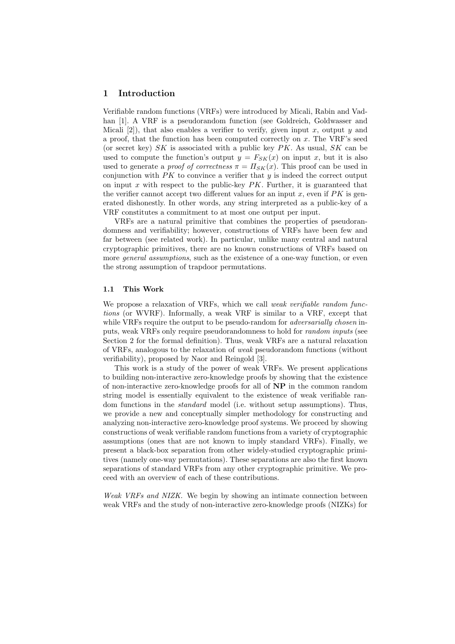### 1 Introduction

Verifiable random functions (VRFs) were introduced by Micali, Rabin and Vadhan [1]. A VRF is a pseudorandom function (see Goldreich, Goldwasser and Micali [2]), that also enables a verifier to verify, given input x, output y and a proof, that the function has been computed correctly on  $x$ . The VRF's seed (or secret key)  $SK$  is associated with a public key  $PK$ . As usual,  $SK$  can be used to compute the function's output  $y = F_{SK}(x)$  on input x, but it is also used to generate a *proof of correctness*  $\pi = \Pi_{SK}(x)$ . This proof can be used in conjunction with  $PK$  to convince a verifier that y is indeed the correct output on input  $x$  with respect to the public-key  $PK$ . Further, it is guaranteed that the verifier cannot accept two different values for an input  $x$ , even if  $PK$  is generated dishonestly. In other words, any string interpreted as a public-key of a VRF constitutes a commitment to at most one output per input.

VRFs are a natural primitive that combines the properties of pseudorandomness and verifiability; however, constructions of VRFs have been few and far between (see related work). In particular, unlike many central and natural cryptographic primitives, there are no known constructions of VRFs based on more *general assumptions*, such as the existence of a one-way function, or even the strong assumption of trapdoor permutations.

#### 1.1 This Work

We propose a relaxation of VRFs, which we call weak verifiable random functions (or WVRF). Informally, a weak VRF is similar to a VRF, except that while VRFs require the output to be pseudo-random for *adversarially chosen* inputs, weak VRFs only require pseudorandomness to hold for random inputs (see Section 2 for the formal definition). Thus, weak VRFs are a natural relaxation of VRFs, analogous to the relaxation of weak pseudorandom functions (without verifiability), proposed by Naor and Reingold [3].

This work is a study of the power of weak VRFs. We present applications to building non-interactive zero-knowledge proofs by showing that the existence of non-interactive zero-knowledge proofs for all of NP in the common random string model is essentially equivalent to the existence of weak verifiable random functions in the standard model (i.e. without setup assumptions). Thus, we provide a new and conceptually simpler methodology for constructing and analyzing non-interactive zero-knowledge proof systems. We proceed by showing constructions of weak verifiable random functions from a variety of cryptographic assumptions (ones that are not known to imply standard VRFs). Finally, we present a black-box separation from other widely-studied cryptographic primitives (namely one-way permutations). These separations are also the first known separations of standard VRFs from any other cryptographic primitive. We proceed with an overview of each of these contributions.

Weak VRFs and NIZK. We begin by showing an intimate connection between weak VRFs and the study of non-interactive zero-knowledge proofs (NIZKs) for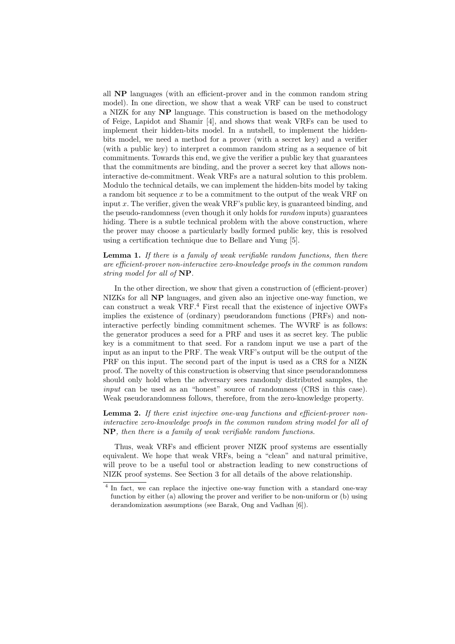all NP languages (with an efficient-prover and in the common random string model). In one direction, we show that a weak VRF can be used to construct a NIZK for any NP language. This construction is based on the methodology of Feige, Lapidot and Shamir [4], and shows that weak VRFs can be used to implement their hidden-bits model. In a nutshell, to implement the hiddenbits model, we need a method for a prover (with a secret key) and a verifier (with a public key) to interpret a common random string as a sequence of bit commitments. Towards this end, we give the verifier a public key that guarantees that the commitments are binding, and the prover a secret key that allows noninteractive de-commitment. Weak VRFs are a natural solution to this problem. Modulo the technical details, we can implement the hidden-bits model by taking a random bit sequence x to be a commitment to the output of the weak VRF on input  $x$ . The verifier, given the weak VRF's public key, is guaranteed binding, and the pseudo-randomness (even though it only holds for random inputs) guarantees hiding. There is a subtle technical problem with the above construction, where the prover may choose a particularly badly formed public key, this is resolved using a certification technique due to Bellare and Yung [5].

**Lemma 1.** If there is a family of weak verifiable random functions, then there are efficient-prover non-interactive zero-knowledge proofs in the common random string model for all of NP.

In the other direction, we show that given a construction of (efficient-prover) NIZKs for all NP languages, and given also an injective one-way function, we can construct a weak  $VRF<sup>4</sup>$  First recall that the existence of injective OWFs implies the existence of (ordinary) pseudorandom functions (PRFs) and noninteractive perfectly binding commitment schemes. The WVRF is as follows: the generator produces a seed for a PRF and uses it as secret key. The public key is a commitment to that seed. For a random input we use a part of the input as an input to the PRF. The weak VRF's output will be the output of the PRF on this input. The second part of the input is used as a CRS for a NIZK proof. The novelty of this construction is observing that since pseudorandomness should only hold when the adversary sees randomly distributed samples, the input can be used as an "honest" source of randomness (CRS in this case). Weak pseudorandomness follows, therefore, from the zero-knowledge property.

Lemma 2. If there exist injective one-way functions and efficient-prover noninteractive zero-knowledge proofs in the common random string model for all of NP, then there is a family of weak verifiable random functions.

Thus, weak VRFs and efficient prover NIZK proof systems are essentially equivalent. We hope that weak VRFs, being a "clean" and natural primitive, will prove to be a useful tool or abstraction leading to new constructions of NIZK proof systems. See Section 3 for all details of the above relationship.

<sup>&</sup>lt;sup>4</sup> In fact, we can replace the injective one-way function with a standard one-way function by either (a) allowing the prover and verifier to be non-uniform or (b) using derandomization assumptions (see Barak, Ong and Vadhan [6]).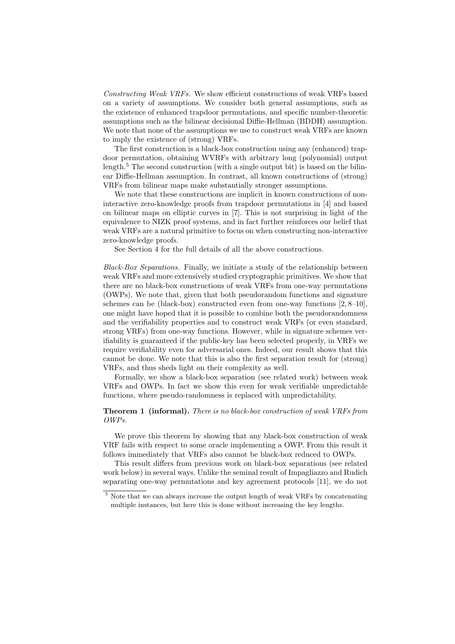Constructing Weak VRFs. We show efficient constructions of weak VRFs based on a variety of assumptions. We consider both general assumptions, such as the existence of enhanced trapdoor permutations, and specific number-theoretic assumptions such as the bilinear decisional Diffie-Hellman (BDDH) assumption. We note that none of the assumptions we use to construct weak VRFs are known to imply the existence of (strong) VRFs.

The first construction is a black-box construction using any (enhanced) trapdoor permutation, obtaining WVRFs with arbitrary long (polynomial) output length.<sup>5</sup> The second construction (with a single output bit) is based on the bilinear Diffie-Hellman assumption. In contrast, all known constructions of (strong) VRFs from bilinear maps make substantially stronger assumptions.

We note that these constructions are implicit in known constructions of noninteractive zero-knowledge proofs from trapdoor permutations in [4] and based on bilinear maps on elliptic curves in [7]. This is not surprising in light of the equivalence to NIZK proof systems, and in fact further reinforces our belief that weak VRFs are a natural primitive to focus on when constructing non-interactive zero-knowledge proofs.

See Section 4 for the full details of all the above constructions.

Black-Box Separations. Finally, we initiate a study of the relationship between weak VRFs and more extensively studied cryptographic primitives. We show that there are no black-box constructions of weak VRFs from one-way permutations (OWPs). We note that, given that both pseudorandom functions and signature schemes can be (black-box) constructed even from one-way functions  $[2, 8-10]$ , one might have hoped that it is possible to combine both the pseudorandomness and the verifiability properties and to construct weak VRFs (or even standard, strong VRFs) from one-way functions. However, while in signature schemes verifiability is guaranteed if the public-key has been selected properly, in VRFs we require verifiability even for adversarial ones. Indeed, our result shows that this cannot be done. We note that this is also the first separation result for (strong) VRFs, and thus sheds light on their complexity as well.

Formally, we show a black-box separation (see related work) between weak VRFs and OWPs. In fact we show this even for weak verifiable unpredictable functions, where pseudo-randomness is replaced with unpredictability.

### Theorem 1 (informal). There is no black-box construction of weak VRFs from OWPs.

We prove this theorem by showing that any black-box construction of weak VRF fails with respect to some oracle implementing a OWP. From this result it follows immediately that VRFs also cannot be black-box reduced to OWPs.

This result differs from previous work on black-box separations (see related work below) in several ways. Unlike the seminal result of Impagliazzo and Rudich separating one-way permutations and key agreement protocols [11], we do not

<sup>5</sup> Note that we can always increase the output length of weak VRFs by concatenating multiple instances, but here this is done without increasing the key lengths.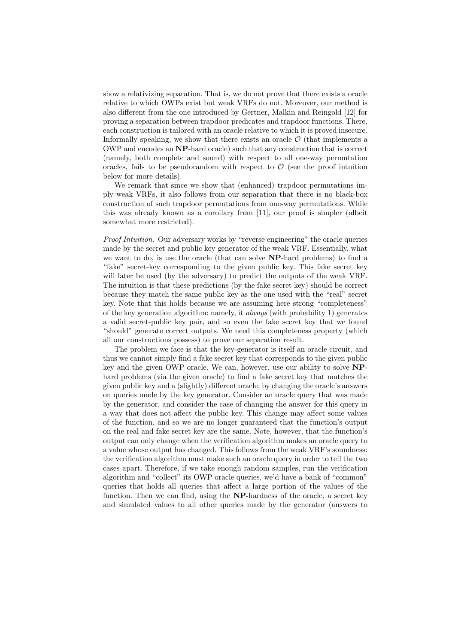show a relativizing separation. That is, we do not prove that there exists a oracle relative to which OWPs exist but weak VRFs do not. Moreover, our method is also different from the one introduced by Gertner, Malkin and Reingold [12] for proving a separation between trapdoor predicates and trapdoor functions. There, each construction is tailored with an oracle relative to which it is proved insecure. Informally speaking, we show that there exists an oracle  $\mathcal O$  (that implements a OWP and encodes an NP-hard oracle) such that any construction that is correct (namely, both complete and sound) with respect to all one-way permutation oracles, fails to be pseudorandom with respect to  $\mathcal O$  (see the proof intuition below for more details).

We remark that since we show that (enhanced) trapdoor permutations imply weak VRFs, it also follows from our separation that there is no black-box construction of such trapdoor permutations from one-way permutations. While this was already known as a corollary from [11], our proof is simpler (albeit somewhat more restricted).

Proof Intuition. Our adversary works by "reverse engineering" the oracle queries made by the secret and public key generator of the weak VRF. Essentially, what we want to do, is use the oracle (that can solve NP-hard problems) to find a "fake" secret-key corresponding to the given public key. This fake secret key will later be used (by the adversary) to predict the outputs of the weak VRF. The intuition is that these predictions (by the fake secret key) should be correct because they match the same public key as the one used with the "real" secret key. Note that this holds because we are assuming here strong "completeness" of the key generation algorithm: namely, it always (with probability 1) generates a valid secret-public key pair, and so even the fake secret key that we found "should" generate correct outputs. We need this completeness property (which all our constructions possess) to prove our separation result.

The problem we face is that the key-generator is itself an oracle circuit, and thus we cannot simply find a fake secret key that corresponds to the given public key and the given OWP oracle. We can, however, use our ability to solve NPhard problems (via the given oracle) to find a fake secret key that matches the given public key and a (slightly) different oracle, by changing the oracle's answers on queries made by the key generator. Consider an oracle query that was made by the generator, and consider the case of changing the answer for this query in a way that does not affect the public key. This change may affect some values of the function, and so we are no longer guaranteed that the function's output on the real and fake secret key are the same. Note, however, that the function's output can only change when the verification algorithm makes an oracle query to a value whose output has changed. This follows from the weak VRF's soundness: the verification algorithm must make such an oracle query in order to tell the two cases apart. Therefore, if we take enough random samples, run the verification algorithm and "collect" its OWP oracle queries, we'd have a bank of "common" queries that holds all queries that affect a large portion of the values of the function. Then we can find, using the NP-hardness of the oracle, a secret key and simulated values to all other queries made by the generator (answers to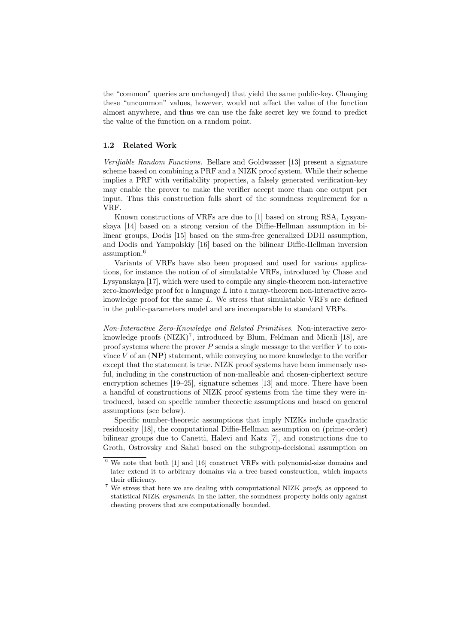the "common" queries are unchanged) that yield the same public-key. Changing these "uncommon" values, however, would not affect the value of the function almost anywhere, and thus we can use the fake secret key we found to predict the value of the function on a random point.

#### 1.2 Related Work

Verifiable Random Functions. Bellare and Goldwasser [13] present a signature scheme based on combining a PRF and a NIZK proof system. While their scheme implies a PRF with verifiability properties, a falsely generated verification-key may enable the prover to make the verifier accept more than one output per input. Thus this construction falls short of the soundness requirement for a VRF.

Known constructions of VRFs are due to [1] based on strong RSA, Lysyanskaya [14] based on a strong version of the Diffie-Hellman assumption in bilinear groups, Dodis [15] based on the sum-free generalized DDH assumption, and Dodis and Yampolskiy [16] based on the bilinear Diffie-Hellman inversion assumption.<sup>6</sup>

Variants of VRFs have also been proposed and used for various applications, for instance the notion of of simulatable VRFs, introduced by Chase and Lysyanskaya [17], which were used to compile any single-theorem non-interactive zero-knowledge proof for a language  $L$  into a many-theorem non-interactive zeroknowledge proof for the same  $L$ . We stress that simulatable VRFs are defined in the public-parameters model and are incomparable to standard VRFs.

Non-Interactive Zero-Knowledge and Related Primitives. Non-interactive zeroknowledge proofs  $(NIZK)^7$ , introduced by Blum, Feldman and Micali [18], are proof systems where the prover  $P$  sends a single message to the verifier  $V$  to convince  $V$  of an  $(NP)$  statement, while conveying no more knowledge to the verifier except that the statement is true. NIZK proof systems have been immensely useful, including in the construction of non-malleable and chosen-ciphertext secure encryption schemes [19–25], signature schemes [13] and more. There have been a handful of constructions of NIZK proof systems from the time they were introduced, based on specific number theoretic assumptions and based on general assumptions (see below).

Specific number-theoretic assumptions that imply NIZKs include quadratic residuosity [18], the computational Diffie-Hellman assumption on (prime-order) bilinear groups due to Canetti, Halevi and Katz [7], and constructions due to Groth, Ostrovsky and Sahai based on the subgroup-decisional assumption on

 $6$  We note that both [1] and [16] construct VRFs with polynomial-size domains and later extend it to arbitrary domains via a tree-based construction, which impacts their efficiency.

<sup>&</sup>lt;sup>7</sup> We stress that here we are dealing with computational NIZK *proofs*, as opposed to statistical NIZK arguments. In the latter, the soundness property holds only against cheating provers that are computationally bounded.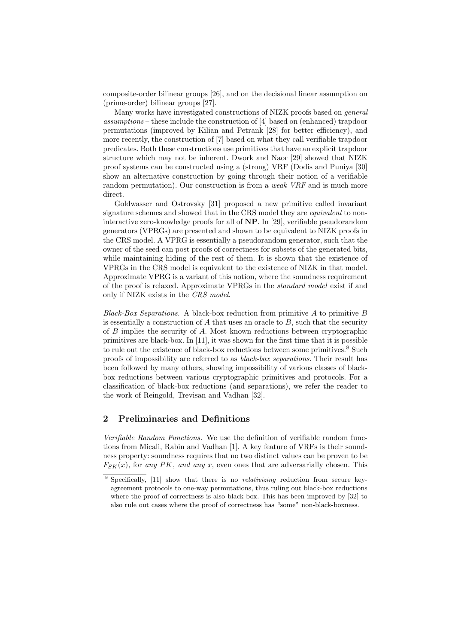composite-order bilinear groups [26], and on the decisional linear assumption on (prime-order) bilinear groups [27].

Many works have investigated constructions of NIZK proofs based on general assumptions – these include the construction of [4] based on (enhanced) trapdoor permutations (improved by Kilian and Petrank [28] for better efficiency), and more recently, the construction of [7] based on what they call verifiable trapdoor predicates. Both these constructions use primitives that have an explicit trapdoor structure which may not be inherent. Dwork and Naor [29] showed that NIZK proof systems can be constructed using a (strong) VRF (Dodis and Puniya [30] show an alternative construction by going through their notion of a verifiable random permutation). Our construction is from a *weak VRF* and is much more direct.

Goldwasser and Ostrovsky [31] proposed a new primitive called invariant signature schemes and showed that in the CRS model they are *equivalent* to noninteractive zero-knowledge proofs for all of NP. In [29], verifiable pseudorandom generators (VPRGs) are presented and shown to be equivalent to NIZK proofs in the CRS model. A VPRG is essentially a pseudorandom generator, such that the owner of the seed can post proofs of correctness for subsets of the generated bits, while maintaining hiding of the rest of them. It is shown that the existence of VPRGs in the CRS model is equivalent to the existence of NIZK in that model. Approximate VPRG is a variant of this notion, where the soundness requirement of the proof is relaxed. Approximate VPRGs in the standard model exist if and only if NIZK exists in the CRS model.

Black-Box Separations. A black-box reduction from primitive  $A$  to primitive  $B$ is essentially a construction of  $A$  that uses an oracle to  $B$ , such that the security of B implies the security of A. Most known reductions between cryptographic primitives are black-box. In [11], it was shown for the first time that it is possible to rule out the existence of black-box reductions between some primitives.<sup>8</sup> Such proofs of impossibility are referred to as black-box separations. Their result has been followed by many others, showing impossibility of various classes of blackbox reductions between various cryptographic primitives and protocols. For a classification of black-box reductions (and separations), we refer the reader to the work of Reingold, Trevisan and Vadhan [32].

## 2 Preliminaries and Definitions

Verifiable Random Functions. We use the definition of verifiable random functions from Micali, Rabin and Vadhan [1]. A key feature of VRFs is their soundness property: soundness requires that no two distinct values can be proven to be  $F_{SK}(x)$ , for any PK, and any x, even ones that are adversarially chosen. This

<sup>8</sup> Specifically, [11] show that there is no relativizing reduction from secure keyagreement protocols to one-way permutations, thus ruling out black-box reductions where the proof of correctness is also black box. This has been improved by [32] to also rule out cases where the proof of correctness has "some" non-black-boxness.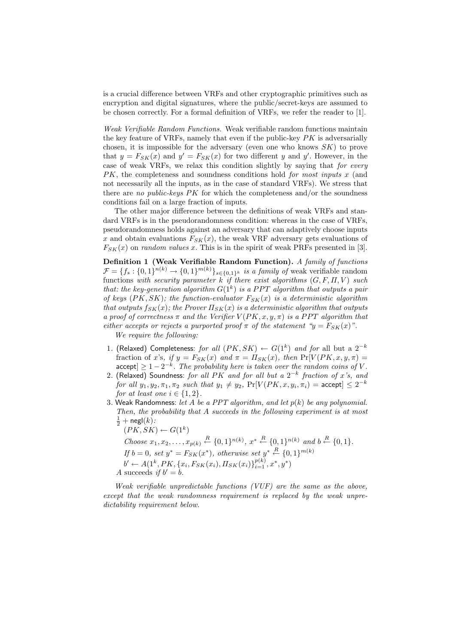is a crucial difference between VRFs and other cryptographic primitives such as encryption and digital signatures, where the public/secret-keys are assumed to be chosen correctly. For a formal definition of VRFs, we refer the reader to [1].

Weak Verifiable Random Functions. Weak verifiable random functions maintain the key feature of VRFs, namely that even if the public-key  $PK$  is adversarially chosen, it is impossible for the adversary (even one who knows  $SK$ ) to prove that  $y = F_{SK}(x)$  and  $y' = F_{SK}(x)$  for two different y and y'. However, in the case of weak VRFs, we relax this condition slightly by saying that for every PK, the completeness and soundness conditions hold for most inputs x (and not necessarily all the inputs, as in the case of standard VRFs). We stress that there are no public-keys  $PK$  for which the completeness and/or the soundness conditions fail on a large fraction of inputs.

The other major difference between the definitions of weak VRFs and standard VRFs is in the pseudorandomness condition: whereas in the case of VRFs, pseudorandomness holds against an adversary that can adaptively choose inputs x and obtain evaluations  $F_{SK}(x)$ , the weak VRF adversary gets evaluations of  $F_{SK}(x)$  on *random values x*. This is in the spirit of weak PRFs presented in [3].

Definition 1 (Weak Verifiable Random Function). A family of functions  $\mathcal{F} = \{f_s : \{0,1\}^{n(k)} \to \{0,1\}^{m(k)}\}_{s \in \{0,1\}^k}$  is a family of weak verifiable random functions with security parameter k if there exist algorithms  $(G, F, \Pi, V)$  such that: the key-generation algorithm  $G(1^k)$  is a PPT algorithm that outputs a pair of keys  $(PK, SK)$ ; the function-evaluator  $F_{SK}(x)$  is a deterministic algorithm that outputs  $f_{SK}(x)$ ; the Prover  $\Pi_{SK}(x)$  is a deterministic algorithm that outputs a proof of correctness  $\pi$  and the Verifier  $V(PK, x, y, \pi)$  is a PPT algorithm that either accepts or rejects a purported proof  $\pi$  of the statement " $y = F_{SK}(x)$ ". We require the following:

- 1. (Relaxed) Completeness: for all  $(PK, SK) \leftarrow G(1^k)$  and for all but a  $2^{-k}$ fraction of x's, if  $y = F_{SK}(x)$  and  $\pi = H_{SK}(x)$ , then Pr[V(PK, x, y,  $\pi$ ) =  $\text{accept}| \geq 1 - 2^{-k}$ . The probability here is taken over the random coins of V.
- 2. (Relaxed) Soundness: for all PK and for all but a  $2^{-k}$  fraction of x's, and for all  $y_1, y_2, \pi_1, \pi_2$  such that  $y_1 \neq y_2$ ,  $\Pr[V(PK, x, y_i, \pi_i) = \textsf{accept}] \leq 2^{-k}$ for at least one  $i \in \{1,2\}.$
- 3. Weak Randomness: let A be a PPT algorithm, and let  $p(k)$  be any polynomial. Then, the probability that A succeeds in the following experiment is at most  $\frac{1}{2}$  + negl(k):

 $(PK, SK) \leftarrow G(1^k)$ Choose  $x_1, x_2, \ldots, x_{p(k)} \stackrel{R}{\leftarrow} \{0, 1\}^{n(k)}, x^* \stackrel{R}{\leftarrow} \{0, 1\}^{n(k)}$  and  $b \stackrel{R}{\leftarrow} \{0, 1\}.$ If  $b = 0$ , set  $y^* = F_{SK}(x^*)$ , otherwise set  $y^* \stackrel{R}{\leftarrow} \{0,1\}^{m(k)}$  $b' \leftarrow A(1^k, PK, \{x_i, F_{SK}(x_i), H_{SK}(x_i)\}_{i=1}^{p(k)}, x^*, y^*)$ A succeeds if  $b' = b$ .

Weak verifiable unpredictable functions (VUF) are the same as the above, except that the weak randomness requirement is replaced by the weak unpredictability requirement below.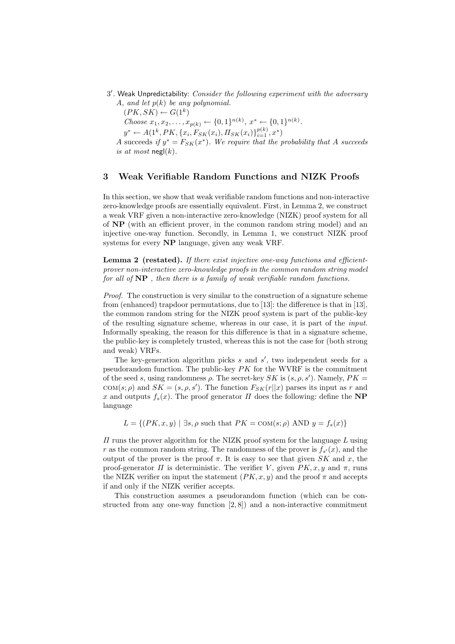3'. Weak Unpredictability: Consider the following experiment with the adversary A, and let  $p(k)$  be any polynomial.

 $(PK, SK) \leftarrow G(1^k)$ 

Choose  $x_1, x_2, \ldots, x_{p(k)} \leftarrow \{0, 1\}^{n(k)}, x^* \leftarrow \{0, 1\}^{n(k)}.$ 

 $y^* \leftarrow A(1^k, PK, \{x_i, F_{SK}(x_i), H_{SK}(x_i)\}_{i=1}^{p(k)}, x^*)$ 

A succeeds if  $y^* = F_{SK}(x^*)$ . We require that the probability that A succeeds is at most  $\operatorname{negl}(k)$ .

# 3 Weak Verifiable Random Functions and NIZK Proofs

In this section, we show that weak verifiable random functions and non-interactive zero-knowledge proofs are essentially equivalent. First, in Lemma 2, we construct a weak VRF given a non-interactive zero-knowledge (NIZK) proof system for all of NP (with an efficient prover, in the common random string model) and an injective one-way function. Secondly, in Lemma 1, we construct NIZK proof systems for every NP language, given any weak VRF.

Lemma 2 (restated). If there exist injective one-way functions and efficientprover non-interactive zero-knowledge proofs in the common random string model for all of  $\bf NP$ , then there is a family of weak verifiable random functions.

Proof. The construction is very similar to the construction of a signature scheme from (enhanced) trapdoor permutations, due to [13]: the difference is that in [13], the common random string for the NIZK proof system is part of the public-key of the resulting signature scheme, whereas in our case, it is part of the input. Informally speaking, the reason for this difference is that in a signature scheme, the public-key is completely trusted, whereas this is not the case for (both strong and weak) VRFs.

The key-generation algorithm picks  $s$  and  $s'$ , two independent seeds for a pseudorandom function. The public-key  $PK$  for the WVRF is the commitment of the seed s, using randomness  $\rho$ . The secret-key SK is  $(s, \rho, s')$ . Namely,  $PK =$  $COM(s; \rho)$  and  $SK = (s, \rho, s')$ . The function  $F_{SK}(r||x)$  parses its input as r and x and outputs  $f_s(x)$ . The proof generator  $\Pi$  does the following: define the NP language

 $L = \{(PK, x, y) \mid \exists s, \rho \text{ such that } PK = \text{COM}(s; \rho) \text{ AND } y = f_s(x)\}\$ 

 $\Pi$  runs the prover algorithm for the NIZK proof system for the language  $L$  using r as the common random string. The randomness of the prover is  $f_{s'}(x)$ , and the output of the prover is the proof  $\pi$ . It is easy to see that given SK and x, the proof-generator  $\Pi$  is deterministic. The verifier V, given  $PK, x, y$  and  $\pi$ , runs the NIZK verifier on input the statement  $(PK, x, y)$  and the proof  $\pi$  and accepts if and only if the NIZK verifier accepts.

This construction assumes a pseudorandom function (which can be constructed from any one-way function [2, 8]) and a non-interactive commitment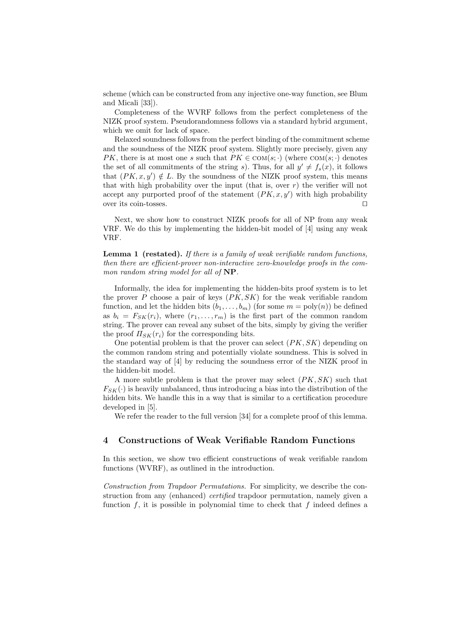scheme (which can be constructed from any injective one-way function, see Blum and Micali [33]).

Completeness of the WVRF follows from the perfect completeness of the NIZK proof system. Pseudorandomness follows via a standard hybrid argument, which we omit for lack of space.

Relaxed soundness follows from the perfect binding of the commitment scheme and the soundness of the NIZK proof system. Slightly more precisely, given any PK, there is at most one s such that  $PK \in \text{COM}(s; \cdot)$  (where  $\text{COM}(s; \cdot)$ ) denotes the set of all commitments of the string s). Thus, for all  $y' \neq f_s(x)$ , it follows that  $(PK, x, y') \notin L$ . By the soundness of the NIZK proof system, this means that with high probability over the input (that is, over  $r$ ) the verifier will not accept any purported proof of the statement  $(PK, x, y')$  with high probability over its coin-tosses.  $\Box$ 

Next, we show how to construct NIZK proofs for all of NP from any weak VRF. We do this by implementing the hidden-bit model of [4] using any weak VRF.

Lemma 1 (restated). If there is a family of weak verifiable random functions, then there are efficient-prover non-interactive zero-knowledge proofs in the common random string model for all of  $\bf NP$ .

Informally, the idea for implementing the hidden-bits proof system is to let the prover  $P$  choose a pair of keys  $(PK, SK)$  for the weak verifiable random function, and let the hidden bits  $(b_1, \ldots, b_m)$  (for some  $m = \text{poly}(n)$ ) be defined as  $b_i = F_{SK}(r_i)$ , where  $(r_1, \ldots, r_m)$  is the first part of the common random string. The prover can reveal any subset of the bits, simply by giving the verifier the proof  $\Pi_{SK}(r_i)$  for the corresponding bits.

One potential problem is that the prover can select  $(PK, SK)$  depending on the common random string and potentially violate soundness. This is solved in the standard way of [4] by reducing the soundness error of the NIZK proof in the hidden-bit model.

A more subtle problem is that the prover may select  $(PK, SK)$  such that  $F_{SK}(\cdot)$  is heavily unbalanced, thus introducing a bias into the distribution of the hidden bits. We handle this in a way that is similar to a certification procedure developed in [5].

We refer the reader to the full version [34] for a complete proof of this lemma.

# 4 Constructions of Weak Verifiable Random Functions

In this section, we show two efficient constructions of weak verifiable random functions (WVRF), as outlined in the introduction.

Construction from Trapdoor Permutations. For simplicity, we describe the construction from any (enhanced) certified trapdoor permutation, namely given a function  $f$ , it is possible in polynomial time to check that  $f$  indeed defines a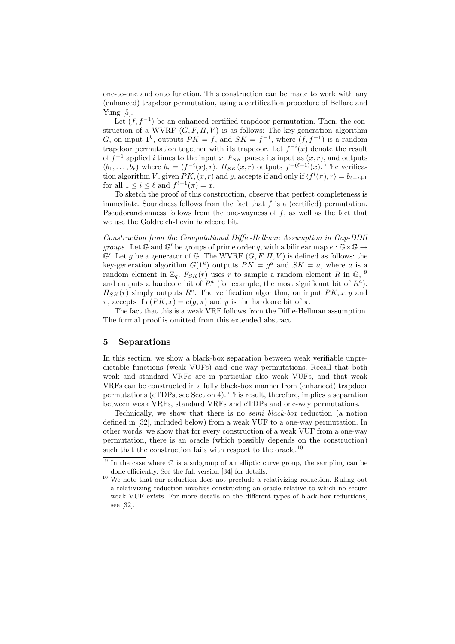one-to-one and onto function. This construction can be made to work with any (enhanced) trapdoor permutation, using a certification procedure of Bellare and Yung [5].

Let  $(f, f^{-1})$  be an enhanced certified trapdoor permutation. Then, the construction of a WVRF  $(G, F, \Pi, V)$  is as follows: The key-generation algorithm G, on input  $1^k$ , outputs  $PK = f$ , and  $SK = f^{-1}$ , where  $(f, f^{-1})$  is a random trapdoor permutation together with its trapdoor. Let  $f^{-i}(x)$  denote the result of  $f^{-1}$  applied i times to the input x.  $F_{SK}$  parses its input as  $(x, r)$ , and outputs  $(b_1, \ldots, b_\ell)$  where  $b_i = \langle f^{-i}(x), r \rangle$ .  $\Pi_{SK}(x, r)$  outputs  $f^{-(\ell+1)}(x)$ . The verification algorithm V, given  $PK$ ,  $(x, r)$  and y, accepts if and only if  $\langle f^i(\pi), r \rangle = b_{\ell-i+1}$ for all  $1 \leq i \leq \ell$  and  $f^{\ell+1}(\pi) = x$ .

To sketch the proof of this construction, observe that perfect completeness is immediate. Soundness follows from the fact that  $f$  is a (certified) permutation. Pseudorandomness follows from the one-wayness of  $f$ , as well as the fact that we use the Goldreich-Levin hardcore bit.

Construction from the Computational Diffie-Hellman Assumption in Gap-DDH groups. Let G and G' be groups of prime order q, with a bilinear map  $e : \mathbb{G} \times \mathbb{G} \to$  $\mathbb{G}'$ . Let g be a generator of  $\mathbb{G}$ . The WVRF  $(G, F, \Pi, V)$  is defined as follows: the key-generation algorithm  $G(1^k)$  outputs  $PK = g^a$  and  $SK = a$ , where a is a random element in  $\mathbb{Z}_q$ .  $F_{SK}(r)$  uses r to sample a random element R in G, <sup>9</sup> and outputs a hardcore bit of  $R^a$  (for example, the most significant bit of  $R^a$ ).  $\Pi_{SK}(r)$  simply outputs  $R^a$ . The verification algorithm, on input  $PK, x, y$  and  $\pi$ , accepts if  $e(PK, x) = e(g, \pi)$  and y is the hardcore bit of  $\pi$ .

The fact that this is a weak VRF follows from the Diffie-Hellman assumption. The formal proof is omitted from this extended abstract.

## 5 Separations

In this section, we show a black-box separation between weak verifiable unpredictable functions (weak VUFs) and one-way permutations. Recall that both weak and standard VRFs are in particular also weak VUFs, and that weak VRFs can be constructed in a fully black-box manner from (enhanced) trapdoor permutations (eTDPs, see Section 4). This result, therefore, implies a separation between weak VRFs, standard VRFs and eTDPs and one-way permutations.

Technically, we show that there is no semi black-box reduction (a notion defined in [32], included below) from a weak VUF to a one-way permutation. In other words, we show that for every construction of a weak VUF from a one-way permutation, there is an oracle (which possibly depends on the construction) such that the construction fails with respect to the oracle.<sup>10</sup>

<sup>&</sup>lt;sup>9</sup> In the case where G is a subgroup of an elliptic curve group, the sampling can be done efficiently. See the full version [34] for details.

<sup>10</sup> We note that our reduction does not preclude a relativizing reduction. Ruling out a relativizing reduction involves constructing an oracle relative to which no secure weak VUF exists. For more details on the different types of black-box reductions, see [32].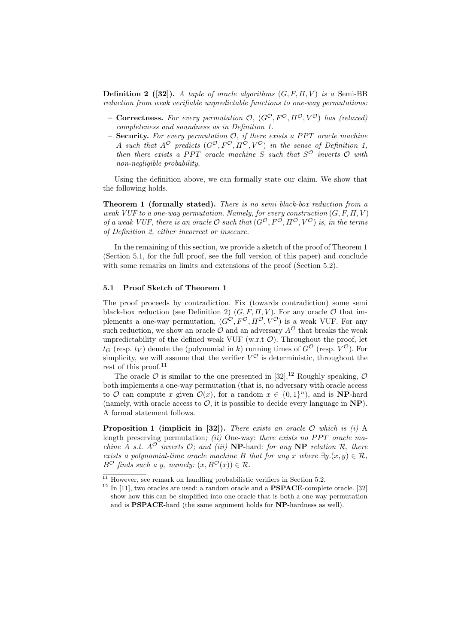**Definition 2** ([32]). A tuple of oracle algorithms  $(G, F, \Pi, V)$  is a Semi-BB reduction from weak verifiable unpredictable functions to one-way permutations:

- Correctness. For every permutation  $\mathcal{O}, (G^{\mathcal{O}}, F^{\mathcal{O}}, \Pi^{\mathcal{O}}, V^{\mathcal{O}})$  has (relaxed) completeness and soundness as in Definition 1.
- **Security.** For every permutation  $O$ , if there exists a PPT oracle machine A such that  $A^{\mathcal{O}}$  predicts  $(G^{\mathcal{O}}, F^{\mathcal{O}}, \Pi^{\mathcal{O}}, V^{\mathcal{O}})$  in the sense of Definition 1, then there exists a PPT oracle machine S such that  $S^{\mathcal{O}}$  inverts  $\mathcal O$  with non-negligible probability.

Using the definition above, we can formally state our claim. We show that the following holds.

Theorem 1 (formally stated). There is no semi black-box reduction from a weak VUF to a one-way permutation. Namely, for every construction  $(G, F, \Pi, V)$ of a weak VUF, there is an oracle  $\mathcal O$  such that  $(G^{\mathcal O}, F^{\mathcal O}, \Pi^{\mathcal O}, V^{\mathcal O})$  is, in the terms of Definition 2, either incorrect or insecure.

In the remaining of this section, we provide a sketch of the proof of Theorem 1 (Section 5.1, for the full proof, see the full version of this paper) and conclude with some remarks on limits and extensions of the proof (Section 5.2).

## 5.1 Proof Sketch of Theorem 1

The proof proceeds by contradiction. Fix (towards contradiction) some semi black-box reduction (see Definition 2)  $(G, F, \Pi, V)$ . For any oracle  $\mathcal O$  that implements a one-way permutation,  $(G^{\mathcal{O}}, F^{\mathcal{O}}, \Pi^{\mathcal{O}}, V^{\mathcal{O}})$  is a weak VUF. For any such reduction, we show an oracle  $\hat{\mathcal{O}}$  and an adversary  $A^{\mathcal{O}}$  that breaks the weak unpredictability of the defined weak VUF (w.r.t  $\mathcal{O}$ ). Throughout the proof, let  $t_G$  (resp.  $t_V$ ) denote the (polynomial in k) running times of  $G^{\mathcal{O}}$  (resp.  $V^{\mathcal{O}}$ ). For simplicity, we will assume that the verifier  $V^{\mathcal{O}}$  is deterministic, throughout the rest of this proof.<sup>11</sup>

The oracle  $\mathcal O$  is similar to the one presented in [32].<sup>12</sup> Roughly speaking,  $\mathcal O$ both implements a one-way permutation (that is, no adversary with oracle access to O can compute x given  $\mathcal{O}(x)$ , for a random  $x \in \{0,1\}^n$ , and is **NP**-hard (namely, with oracle access to  $\mathcal{O}$ , it is possible to decide every language in NP). A formal statement follows.

**Proposition 1 (implicit in [32]).** There exists an oracle  $\mathcal{O}$  which is (i) A length preserving permutation; (ii) One-way: there exists no  $PPT$  oracle machine A s.t.  $A^{\circ}$  inverts  $\circ$ ; and (iii) NP-hard: for any NP relation R, there exists a polynomial-time oracle machine B that for any x where  $\exists y.(x, y) \in \mathcal{R}$ ,  $B^{\mathcal{O}}$  finds such a y, namely:  $(x, B^{\mathcal{O}}(x)) \in \mathcal{R}$ .

 $11$  However, see remark on handling probabilistic verifiers in Section 5.2.

 $12$  In [11], two oracles are used: a random oracle and a **PSPACE**-complete oracle. [32] show how this can be simplified into one oracle that is both a one-way permutation and is PSPACE-hard (the same argument holds for NP-hardness as well).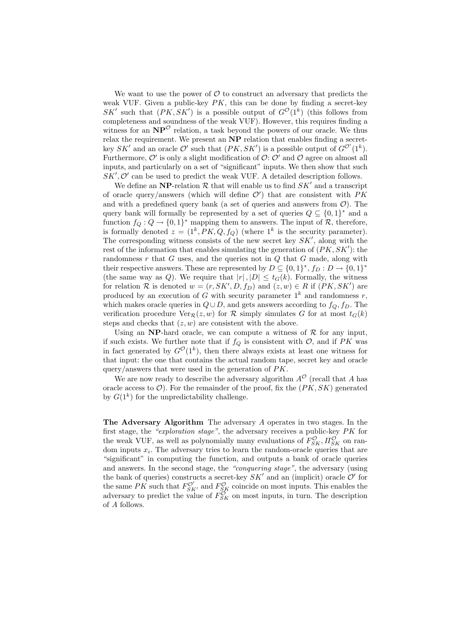We want to use the power of  $\mathcal O$  to construct an adversary that predicts the weak VUF. Given a public-key  $PK$ , this can be done by finding a secret-key  $SK'$  such that  $(PK, SK')$  is a possible output of  $G^{\mathcal{O}}(1^k)$  (this follows from completeness and soundness of the weak VUF). However, this requires finding a witness for an  $NP^{\mathcal{O}}$  relation, a task beyond the powers of our oracle. We thus relax the requirement. We present an NP relation that enables finding a secretkey SK' and an oracle  $\mathcal{O}'$  such that  $(PK, SK')$  is a possible output of  $G^{\mathcal{O}'}(1^k)$ . Furthermore,  $\mathcal{O}'$  is only a slight modification of  $\mathcal{O}$ :  $\mathcal{O}'$  and  $\mathcal{O}$  agree on almost all inputs, and particularly on a set of "significant" inputs. We then show that such  $SK', \mathcal{O}'$  can be used to predict the weak VUF. A detailed description follows.

We define an **NP**-relation  $\mathcal R$  that will enable us to find  $SK'$  and a transcript of oracle query/answers (which will define  $\mathcal{O}'$ ) that are consistent with PK and with a predefined query bank (a set of queries and answers from  $\mathcal{O}$ ). The query bank will formally be represented by a set of queries  $Q \subseteq \{0,1\}^*$  and a function  $f_Q: Q \to \{0,1\}^*$  mapping them to answers. The input of R, therefore, is formally denoted  $z = (1^k, PK, Q, f_Q)$  (where  $1^k$  is the security parameter). The corresponding witness consists of the new secret key  $SK'$ , along with the rest of the information that enables simulating the generation of  $(PK, SK')$ : the randomness  $r$  that  $G$  uses, and the queries not in  $Q$  that  $G$  made, along with their respective answers. These are represented by  $D \subseteq \{0,1\}^*, f_D : D \to \{0,1\}^*$ (the same way as Q). We require that  $|r|, |D| \leq t_G(k)$ . Formally, the witness for relation  $\mathcal R$  is denoted  $w = (r, SK', D, f_D)$  and  $(z, w) \in R$  if  $(PK, SK')$  are produced by an execution of G with security parameter  $1^k$  and randomness r, which makes oracle queries in  $Q \cup D$ , and gets answers according to  $f_Q, f_D$ . The verification procedure  $\text{Ver}_{\mathcal{R}}(z, w)$  for  $\mathcal{R}$  simply simulates G for at most  $t_G(k)$ steps and checks that  $(z, w)$  are consistent with the above.

Using an **NP**-hard oracle, we can compute a witness of  $\mathcal{R}$  for any input, if such exists. We further note that if  $f_Q$  is consistent with  $O$ , and if PK was in fact generated by  $G^{\mathcal{O}}(1^k)$ , then there always exists at least one witness for that input: the one that contains the actual random tape, secret key and oracle query/answers that were used in the generation of  $PK$ .

We are now ready to describe the adversary algorithm  $A^{\mathcal{O}}$  (recall that A has oracle access to  $\mathcal{O}$ ). For the remainder of the proof, fix the  $(PK, SK)$  generated by  $G(1^k)$  for the unpredictability challenge.

The Adversary Algorithm The adversary A operates in two stages. In the first stage, the "exploration stage", the adversary receives a public-key  $PK$  for the weak VUF, as well as polynomially many evaluations of  $F_{SK}^{\mathcal{O}}, H_{SK}^{\mathcal{O}}$  on random inputs  $x_i$ . The adversary tries to learn the random-oracle queries that are "significant" in computing the function, and outputs a bank of oracle queries and answers. In the second stage, the "conquering stage", the adversary (using the bank of queries) constructs a secret-key  $SK'$  and an (implicit) oracle  $\mathcal{O}'$  for the same PK such that  $F_{SK}^{\mathcal{O}'}$  and  $F_{SK}^{\mathcal{O}}$  coincide on most inputs. This enables the adversary to predict the value of  $F_{SK}^{\mathcal{O}}$  on most inputs, in turn. The description of A follows.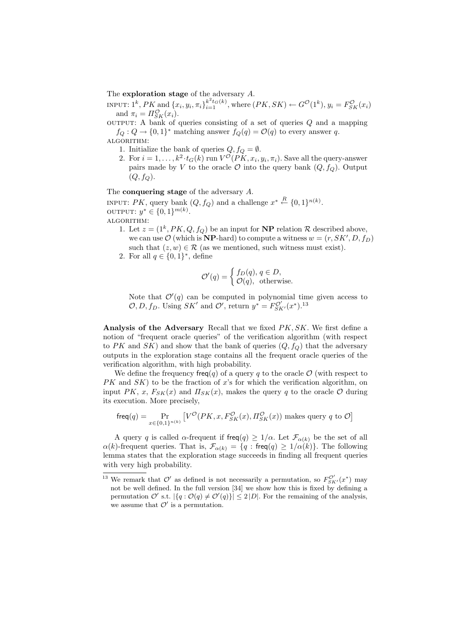The exploration stage of the adversary A.

INPUT:  $1^k$ , PK and  $\{x_i, y_i, \pi_i\}_{i=1}^{k^2 t_G(k)}$ , where  $(PK, SK) \leftarrow G^{\mathcal{O}}(1^k)$ ,  $y_i = F_{SK}^{\mathcal{O}}(x_i)$ and  $\pi_i = \Pi_{SK}^{\mathcal{O}}(x_i)$ .

OUTPUT: A bank of queries consisting of a set of queries  $Q$  and a mapping  $f_Q: Q \to \{0,1\}^*$  matching answer  $f_Q(q) = \mathcal{O}(q)$  to every answer q.

algorithm:

- 1. Initialize the bank of queries  $Q, f_Q = \emptyset$ .
- 2. For  $i = 1, ..., k^2 \cdot t_G(k)$  run  $V^{\mathcal{O}}(PK, x_i, y_i, \pi_i)$ . Save all the query-answer pairs made by V to the oracle  $\mathcal O$  into the query bank  $(Q, f_Q)$ . Output  $(Q, f_Q)$ .

The conquering stage of the adversary A.

INPUT: PK, query bank  $(Q, f_Q)$  and a challenge  $x^* \stackrel{R}{\leftarrow} \{0, 1\}^{n(k)}$ . OUTPUT:  $y^* \in \{0, 1\}^{m(k)}$ .

algorithm:

- 1. Let  $z = (1^k, PK, Q, f_Q)$  be an input for **NP** relation R described above, we can use  $\mathcal{O}$  (which is **NP**-hard) to compute a witness  $w = (r, SK', D, f_D)$ such that  $(z, w) \in \mathcal{R}$  (as we mentioned, such witness must exist).
- 2. For all  $q \in \{0,1\}^*$ , define

$$
\mathcal{O}'(q) = \begin{cases} f_D(q), \, q \in D, \\ \mathcal{O}(q), \text{ otherwise.} \end{cases}
$$

Note that  $\mathcal{O}'(q)$  can be computed in polynomial time given access to  $\mathcal{O}, D, f_D$ . Using  $SK'$  and  $\mathcal{O}'$ , return  $y^* = F_{SK'}^{\mathcal{O}'}(x^*)$ .<sup>13</sup>

Analysis of the Adversary Recall that we fixed  $PK, SK$ . We first define a notion of "frequent oracle queries" of the verification algorithm (with respect to  $PK$  and  $SK$ ) and show that the bank of queries  $(Q, f_Q)$  that the adversary outputs in the exploration stage contains all the frequent oracle queries of the verification algorithm, with high probability.

We define the frequency freq(q) of a query q to the oracle  $\mathcal{O}$  (with respect to  $PK$  and  $SK$ ) to be the fraction of x's for which the verification algorithm, on input PK, x,  $F_{SK}(x)$  and  $\Pi_{SK}(x)$ , makes the query q to the oracle  $\mathcal{O}$  during its execution. More precisely,

$$
\mathsf{freq}(q) = \Pr_{x \in \{0,1\}^{n(k)}} \left[ V^{\mathcal{O}}(PK, x, F_{SK}^{\mathcal{O}}(x), \Pi_{SK}^{\mathcal{O}}(x)) \text{ makes query } q \text{ to } \mathcal{O} \right]
$$

A query q is called  $\alpha$ -frequent if freq $(q) \geq 1/\alpha$ . Let  $\mathcal{F}_{\alpha(k)}$  be the set of all  $\alpha(k)$ -frequent queries. That is,  $\mathcal{F}_{\alpha(k)} = \{q : \text{freq}(q) \geq 1/\alpha(k)\}\.$  The following lemma states that the exploration stage succeeds in finding all frequent queries with very high probability.

<sup>&</sup>lt;sup>13</sup> We remark that  $\mathcal{O}'$  as defined is not necessarily a permutation, so  $F_{SK}^{\mathcal{O}'}(x^*)$  may not be well defined. In the full version [34] we show how this is fixed by defining a permutation  $\mathcal{O}'$  s.t.  $|\{q: \mathcal{O}(q) \neq \mathcal{O}'(q)\}| \leq 2|D|$ . For the remaining of the analysis, we assume that  $\mathcal{O}'$  is a permutation.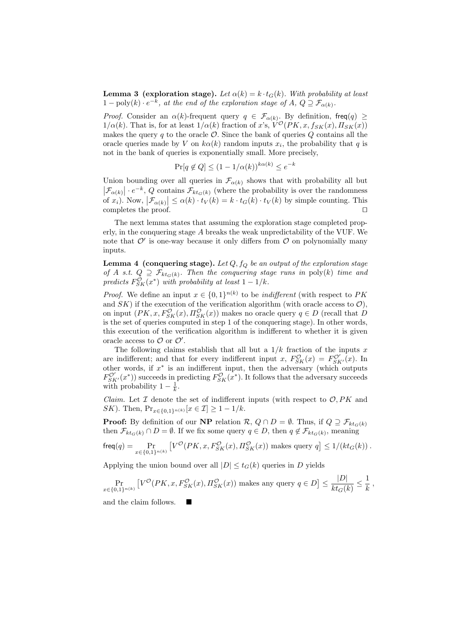**Lemma 3 (exploration stage).** Let  $\alpha(k) = k \cdot t_G(k)$ . With probability at least  $1 - \text{poly}(k) \cdot e^{-k}$ , at the end of the exploration stage of A,  $Q \supseteq \mathcal{F}_{\alpha(k)}$ .

*Proof.* Consider an  $\alpha(k)$ -frequent query  $q \in \mathcal{F}_{\alpha(k)}$ . By definition, freq $(q) \geq$  $1/\alpha(k)$ . That is, for at least  $1/\alpha(k)$  fraction of x's,  $V^{\mathcal{O}}(PK, x, f_{SK}(x), \Pi_{SK}(x))$ makes the query q to the oracle  $\mathcal{O}$ . Since the bank of queries  $Q$  contains all the oracle queries made by V on  $k\alpha(k)$  random inputs  $x_i$ , the probability that q is not in the bank of queries is exponentially small. More precisely,

$$
\Pr[q \notin Q] \le (1 - 1/\alpha(k))^{k\alpha(k)} \le e^{-k}
$$

Union bounding over all queries in  $\mathcal{F}_{\alpha(k)}$  shows that with probability all but  $|\mathcal{F}_{\alpha(k)}| \cdot e^{-k}$ , Q contains  $\mathcal{F}_{kt_G(k)}$  (where the probability is over the randomness of  $x_i$ ). Now,  $|\mathcal{F}_{\alpha(k)}| \leq \alpha(k) \cdot t_V(k) = k \cdot t_G(k) \cdot t_V(k)$  by simple counting. This completes the proof.  $\Box$ 

The next lemma states that assuming the exploration stage completed properly, in the conquering stage A breaks the weak unpredictability of the VUF. We note that  $\mathcal{O}'$  is one-way because it only differs from  $\mathcal O$  on polynomially many inputs.

**Lemma 4 (conquering stage).** Let  $Q$ ,  $f_Q$  be an output of the exploration stage of A s.t.  $Q \supseteq \mathcal{F}_{kt_G(k)}$ . Then the conquering stage runs in poly $(k)$  time and predicts  $F_{SK}^{\mathcal{O}}(x^*)$  with probability at least  $1-1/k$ .

*Proof.* We define an input  $x \in \{0,1\}^{n(k)}$  to be *indifferent* (with respect to PK and  $SK$ ) if the execution of the verification algorithm (with oracle access to  $\mathcal{O}$ ), on input  $(PK, x, F_{SK}^{\mathcal{O}}(x), \Pi_{SK}^{\mathcal{O}}(x))$  makes no oracle query  $q \in D$  (recall that D is the set of queries computed in step 1 of the conquering stage). In other words, this execution of the verification algorithm is indifferent to whether it is given oracle access to  $\mathcal O$  or  $\mathcal O'$ .

The following claims establish that all but a  $1/k$  fraction of the inputs x are indifferent; and that for every indifferent input x,  $F_{SK}^{\mathcal{O}}(x) = F_{SK'}^{\mathcal{O}'}(x)$ . In other words, if  $x^*$  is an indifferent input, then the adversary (which outputs  $F_{SK'}^{O'}(x^*)$ ) succeeds in predicting  $F_{SK}^{O}(x^*)$ . It follows that the adversary succeeds with probability  $1 - \frac{1}{k}$ .

*Claim.* Let  $\mathcal I$  denote the set of indifferent inputs (with respect to  $\mathcal O, PK$  and SK). Then,  $Pr_{x \in \{0,1\}^{n(k)}}[x \in \mathcal{I}] \geq 1 - 1/k$ .

**Proof:** By definition of our NP relation  $\mathcal{R}, Q \cap D = \emptyset$ . Thus, if  $Q \supseteq \mathcal{F}_{ktc(k)}$ then  $\mathcal{F}_{kt_G(k)} \cap D = \emptyset$ . If we fix some query  $q \in D$ , then  $q \notin \mathcal{F}_{kt_G(k)}$ , meaning

$$
\mathsf{freq}(q) = \Pr_{x \in \{0,1\}^{n(k)}} \left[ V^{\mathcal{O}}(PK, x, F_{SK}^{\mathcal{O}}(x), \Pi_{SK}^{\mathcal{O}}(x)) \text{ makes query } q \right] \le 1/(kt_G(k)).
$$

Applying the union bound over all  $|D| \le t_G(k)$  queries in D yields

 $Pr_{x \in \{0,1\}^{n(k)}}$ £  $V^{\mathcal{O}}(PK, x, F_{SK}^{\mathcal{O}}(x), \Pi_{SK}^{\mathcal{O}}(x))$  makes any query  $q \in D$ l<br>E  $\leq \frac{|D|}{|D|}$  $\frac{|D|}{kt_G(k)} \leq \frac{1}{k}$  $\frac{1}{k}$ ,

and the claim follows.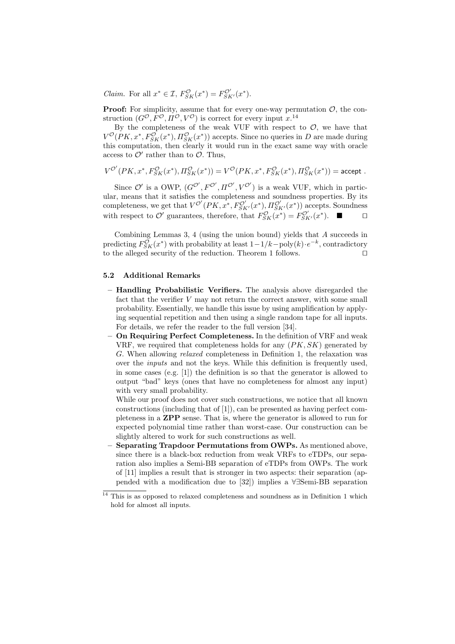*Claim.* For all  $x^* \in \mathcal{I}$ ,  $F_{SK}^{\mathcal{O}}(x^*) = F_{SK'}^{\mathcal{O}'}(x^*)$ .

**Proof:** For simplicity, assume that for every one-way permutation  $\mathcal{O}$ , the construction  $(G^{\mathcal{O}}, F^{\mathcal{O}}, \Pi^{\mathcal{O}}, V^{\mathcal{O}})$  is correct for every input  $x$ .<sup>14</sup>

By the completeness of the weak VUF with respect to  $\mathcal{O}$ , we have that  $V^{\mathcal{O}}(PK, x^*, F_{SK}^{\mathcal{O}}(x^*), H_{SK}^{\mathcal{O}}(x^*))$  accepts. Since no queries in D are made during this computation, then clearly it would run in the exact same way with oracle access to  $\mathcal{O}'$  rather than to  $\mathcal{O}$ . Thus,

$$
V^{\mathcal{O}'}(PK, x^*, F_{SK}^{\mathcal{O}}(x^*), \Pi_{SK}^{\mathcal{O}}(x^*)) = V^{\mathcal{O}}(PK, x^*, F_{SK}^{\mathcal{O}}(x^*), \Pi_{SK}^{\mathcal{O}}(x^*)) = \text{accept}.
$$

Since  $\mathcal{O}'$  is a OWP,  $(G^{\mathcal{O}'}, F^{\mathcal{O}'}, \Pi^{\mathcal{O}'}, V^{\mathcal{O}'})$  is a weak VUF, which in particular, means that it satisfies the completeness and soundness properties. By its completeness, we get that  $V^{\mathcal{O}'}(PK, x^*, F_{SK'}^{\mathcal{O}'}(x^*), \Pi_{SK'}^{\mathcal{O}'}(x^*))$  accepts. Soundness with respect to  $\mathcal{O}'$  guarantees, therefore, that  $F_{SK}^{\mathcal{O}}(x^*) = F_{SK'}^{\mathcal{O}'}(x^*)$ .  $\blacksquare$ 

Combining Lemmas 3, 4 (using the union bound) yields that A succeeds in predicting  $F_{SK}^{\mathcal{O}}(x^*)$  with probability at least  $1-1/k-\text{poly}(k)\cdot e^{-k}$ , contradictory to the alleged security of the reduction. Theorem 1 follows.  $\Box$ 

### 5.2 Additional Remarks

- Handling Probabilistic Verifiers. The analysis above disregarded the fact that the verifier  $V$  may not return the correct answer, with some small probability. Essentially, we handle this issue by using amplification by applying sequential repetition and then using a single random tape for all inputs. For details, we refer the reader to the full version [34].
- On Requiring Perfect Completeness. In the definition of VRF and weak VRF, we required that completeness holds for any  $(PK, SK)$  generated by G. When allowing relaxed completeness in Definition 1, the relaxation was over the inputs and not the keys. While this definition is frequently used, in some cases (e.g. [1]) the definition is so that the generator is allowed to output "bad" keys (ones that have no completeness for almost any input) with very small probability.

While our proof does not cover such constructions, we notice that all known constructions (including that of [1]), can be presented as having perfect completeness in a ZPP sense. That is, where the generator is allowed to run for expected polynomial time rather than worst-case. Our construction can be slightly altered to work for such constructions as well.

– Separating Trapdoor Permutations from OWPs. As mentioned above, since there is a black-box reduction from weak VRFs to eTDPs, our separation also implies a Semi-BB separation of eTDPs from OWPs. The work of [11] implies a result that is stronger in two aspects: their separation (appended with a modification due to [32]) implies a ∀∃Semi-BB separation

 $^{14}$  This is as opposed to relaxed completeness and soundness as in Definition 1 which hold for almost all inputs.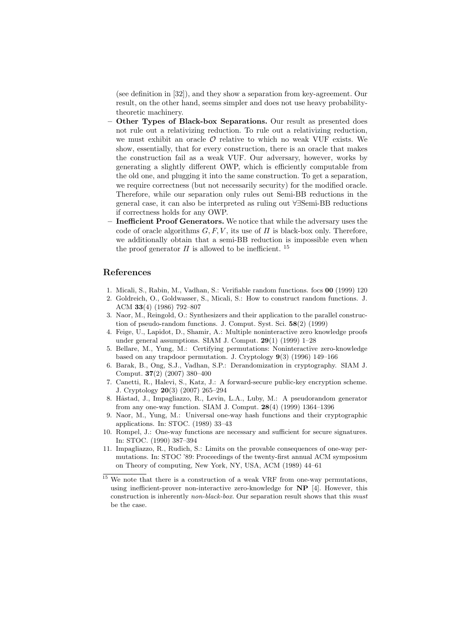(see definition in [32]), and they show a separation from key-agreement. Our result, on the other hand, seems simpler and does not use heavy probabilitytheoretic machinery.

- Other Types of Black-box Separations. Our result as presented does not rule out a relativizing reduction. To rule out a relativizing reduction, we must exhibit an oracle  $\mathcal O$  relative to which no weak VUF exists. We show, essentially, that for every construction, there is an oracle that makes the construction fail as a weak VUF. Our adversary, however, works by generating a slightly different OWP, which is efficiently computable from the old one, and plugging it into the same construction. To get a separation, we require correctness (but not necessarily security) for the modified oracle. Therefore, while our separation only rules out Semi-BB reductions in the general case, it can also be interpreted as ruling out ∀∃Semi-BB reductions if correctness holds for any OWP.
- Inefficient Proof Generators. We notice that while the adversary uses the code of oracle algorithms  $G, F, V$ , its use of  $\Pi$  is black-box only. Therefore, we additionally obtain that a semi-BB reduction is impossible even when the proof generator  $\Pi$  is allowed to be inefficient. <sup>15</sup>

# References

- 1. Micali, S., Rabin, M., Vadhan, S.: Verifiable random functions. focs 00 (1999) 120
- 2. Goldreich, O., Goldwasser, S., Micali, S.: How to construct random functions. J. ACM 33(4) (1986) 792–807
- 3. Naor, M., Reingold, O.: Synthesizers and their application to the parallel construction of pseudo-random functions. J. Comput. Syst. Sci. 58(2) (1999)
- 4. Feige, U., Lapidot, D., Shamir, A.: Multiple noninteractive zero knowledge proofs under general assumptions. SIAM J. Comput. 29(1) (1999) 1–28
- 5. Bellare, M., Yung, M.: Certifying permutations: Noninteractive zero-knowledge based on any trapdoor permutation. J. Cryptology  $9(3)$  (1996) 149–166
- 6. Barak, B., Ong, S.J., Vadhan, S.P.: Derandomization in cryptography. SIAM J. Comput. 37(2) (2007) 380–400
- 7. Canetti, R., Halevi, S., Katz, J.: A forward-secure public-key encryption scheme. J. Cryptology 20(3) (2007) 265–294
- 8. Håstad, J., Impagliazzo, R., Levin, L.A., Luby, M.: A pseudorandom generator from any one-way function. SIAM J. Comput. 28(4) (1999) 1364–1396
- 9. Naor, M., Yung, M.: Universal one-way hash functions and their cryptographic applications. In: STOC. (1989) 33–43
- 10. Rompel, J.: One-way functions are necessary and sufficient for secure signatures. In: STOC. (1990) 387–394
- 11. Impagliazzo, R., Rudich, S.: Limits on the provable consequences of one-way permutations. In: STOC '89: Proceedings of the twenty-first annual ACM symposium on Theory of computing, New York, NY, USA, ACM (1989) 44–61
- $^{15}$  We note that there is a construction of a weak VRF from one-way permutations, using inefficient-prover non-interactive zero-knowledge for NP [4]. However, this construction is inherently non-black-box. Our separation result shows that this must be the case.